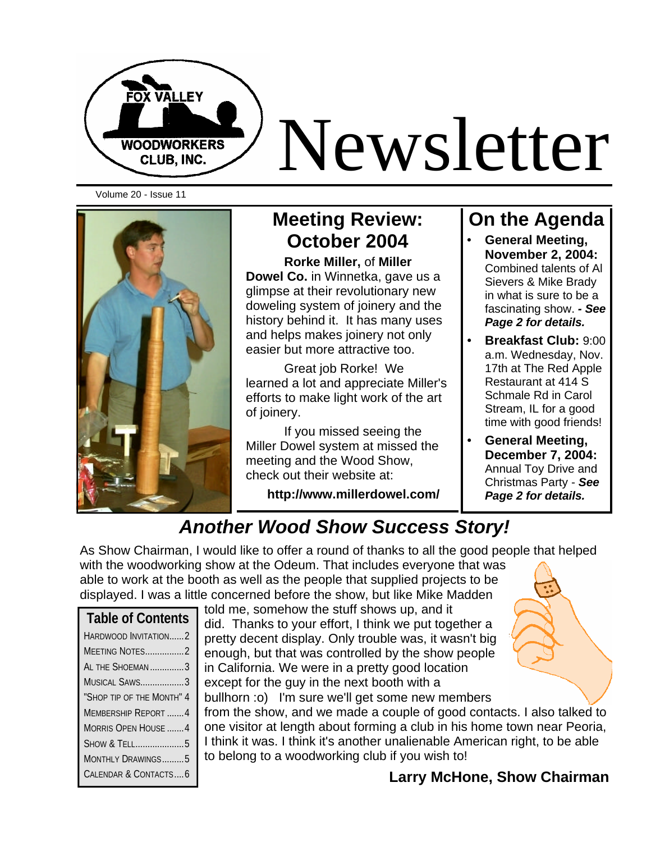

# Newsletter

Volume 20 - Issue 11



# **Meeting Review: October 2004**

**Rorke Miller,** of **Miller Dowel Co.** in Winnetka, gave us a glimpse at their revolutionary new doweling system of joinery and the history behind it. It has many uses and helps makes joinery not only easier but more attractive too.

Great job Rorke! We learned a lot and appreciate Miller's efforts to make light work of the art of joinery.

If you missed seeing the Miller Dowel system at missed the meeting and the Wood Show, check out their website at:

**http://www.millerdowel.com/**

## **On the Agenda**

- **General Meeting, November 2, 2004:**  Combined talents of Al Sievers & Mike Brady in what is sure to be a fascinating show. *- See Page 2 for details.*
- **Breakfast Club:** 9:00 a.m. Wednesday, Nov. 17th at The Red Apple Restaurant at 414 S Schmale Rd in Carol Stream, IL for a good time with good friends!
- **General Meeting, December 7, 2004:**  Annual Toy Drive and Christmas Party - *See Page 2 for details.*

# *Another Wood Show Success Story!*

As Show Chairman, I would like to offer a round of thanks to all the good people that helped with the woodworking show at the Odeum. That includes everyone that was

able to work at the booth as well as the people that supplied projects to be displayed. I was a little concerned before the show, but like Mike Madden

| <b>Table of Contents</b>   |
|----------------------------|
| HARDWOOD INVITATION2       |
| MEETING NOTES2             |
| AL THE SHOFMAN3            |
| MUSICAL SAWS3              |
| "Shop tip of the Month" 4  |
| MEMBERSHIP REPORT 4        |
| <b>MORRIS OPEN HOUSE 4</b> |
| SHOW & TELL5               |
| MONTHLY DRAWINGS5          |
| CALENDAR & CONTACTS6       |

told me, somehow the stuff shows up, and it did. Thanks to your effort, I think we put together a pretty decent display. Only trouble was, it wasn't big enough, but that was controlled by the show people in California. We were in a pretty good location except for the guy in the next booth with a bullhorn :o) I'm sure we'll get some new members

from the show, and we made a couple of good contacts. I also talked to one visitor at length about forming a club in his home town near Peoria, I think it was. I think it's another unalienable American right, to be able to belong to a woodworking club if you wish to!

#### **Larry McHone, Show Chairman**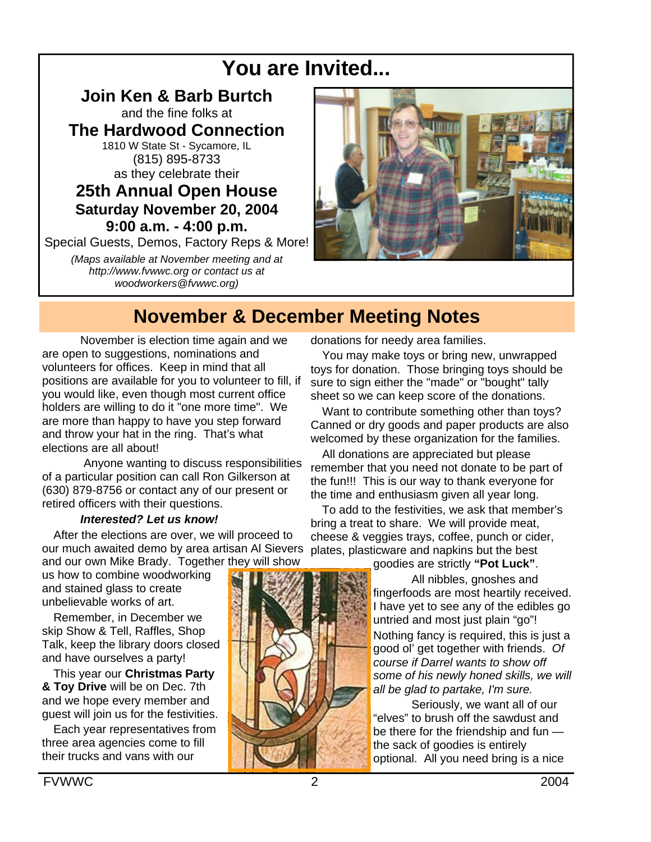# **You are Invited...**

**Join Ken & Barb Burtch** and the fine folks at **The Hardwood Connection** 1810 W State St - Sycamore, IL (815) 895-8733 as they celebrate their **25th Annual Open House Saturday November 20, 2004 9:00 a.m. - 4:00 p.m.** Special Guests, Demos, Factory Reps & More!

*(Maps available at November meeting and at http://www.fvwwc.org or contact us at woodworkers@fvwwc.org)*



# **November & December Meeting Notes**

November is election time again and we are open to suggestions, nominations and volunteers for offices. Keep in mind that all positions are available for you to volunteer to fill, if you would like, even though most current office holders are willing to do it "one more time". We are more than happy to have you step forward and throw your hat in the ring. That's what elections are all about!

 Anyone wanting to discuss responsibilities of a particular position can call Ron Gilkerson at (630) 879-8756 or contact any of our present or retired officers with their questions.

#### *Interested? Let us know!*

After the elections are over, we will proceed to our much awaited demo by area artisan Al Sievers and our own Mike Brady. Together they will show

us how to combine woodworking and stained glass to create unbelievable works of art.

Remember, in December we skip Show & Tell, Raffles, Shop Talk, keep the library doors closed and have ourselves a party!

This year our **Christmas Party & Toy Drive** will be on Dec. 7th and we hope every member and guest will join us for the festivities.

Each year representatives from three area agencies come to fill their trucks and vans with our

donations for needy area families.

You may make toys or bring new, unwrapped toys for donation. Those bringing toys should be sure to sign either the "made" or "bought" tally sheet so we can keep score of the donations.

Want to contribute something other than toys? Canned or dry goods and paper products are also welcomed by these organization for the families.

All donations are appreciated but please remember that you need not donate to be part of the fun!!! This is our way to thank everyone for the time and enthusiasm given all year long.

To add to the festivities, we ask that member's bring a treat to share. We will provide meat, cheese & veggies trays, coffee, punch or cider, plates, plasticware and napkins but the best

goodies are strictly **"Pot Luck"**.

All nibbles, gnoshes and fingerfoods are most heartily received. I have yet to see any of the edibles go untried and most just plain "go"! Nothing fancy is required, this is just a good ol' get together with friends. *Of course if Darrel wants to show off some of his newly honed skills, we will all be glad to partake, I'm sure.* 

Seriously, we want all of our "elves" to brush off the sawdust and be there for the friendship and fun the sack of goodies is entirely optional. All you need bring is a nice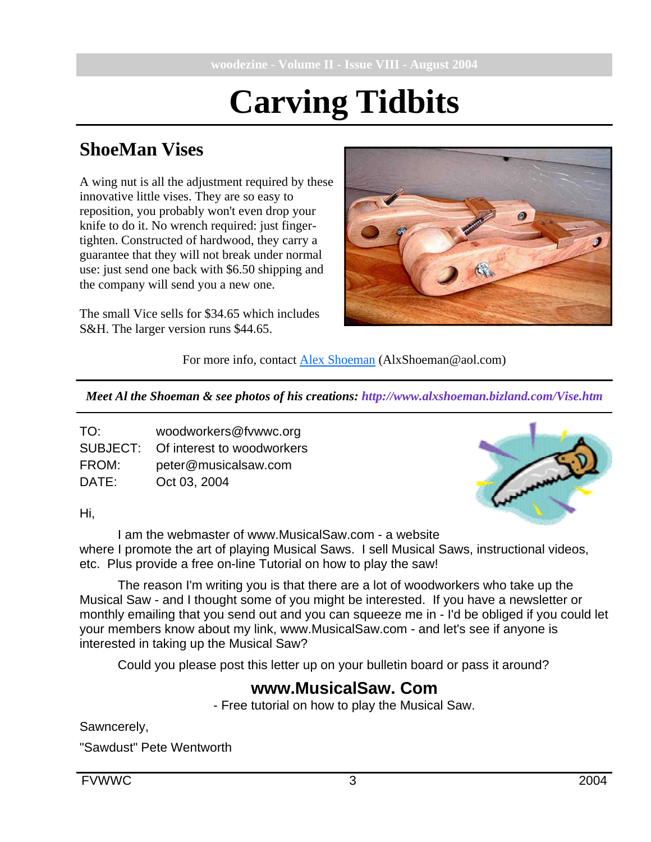# **Carving Tidbits**

### **ShoeMan Vises**

A wing nut is all the adjustment required by these innovative little vises. They are so easy to reposition, you probably won't even drop your knife to do it. No wrench required: just fingertighten. Constructed of hardwood, they carry a guarantee that they will not break under normal use: just send one back with \$6.50 shipping and the company will send you a new one.

The small Vice sells for \$34.65 which includes S&H. The larger version runs \$44.65.



For more info, contact Alex Shoeman (AlxShoeman@aol.com)

*Meet Al the Shoeman & see photos of his creations: http://www.alxshoeman.bizland.com/Vise.htm*

| TO:   | woodworkers@fvwwc.org               |
|-------|-------------------------------------|
|       | SUBJECT: Of interest to woodworkers |
| FROM: | peter@musicalsaw.com                |
| DATE: | Oct 03, 2004                        |



Hi,

I am the webmaster of www.MusicalSaw.com - a website where I promote the art of playing Musical Saws. I sell Musical Saws, instructional videos, etc. Plus provide a free on-line Tutorial on how to play the saw!

The reason I'm writing you is that there are a lot of woodworkers who take up the Musical Saw - and I thought some of you might be interested. If you have a newsletter or monthly emailing that you send out and you can squeeze me in - I'd be obliged if you could let your members know about my link, www.MusicalSaw.com - and let's see if anyone is interested in taking up the Musical Saw?

Could you please post this letter up on your bulletin board or pass it around?

#### **www.MusicalSaw. Com**

- Free tutorial on how to play the Musical Saw.

Sawncerely,

"Sawdust" Pete Wentworth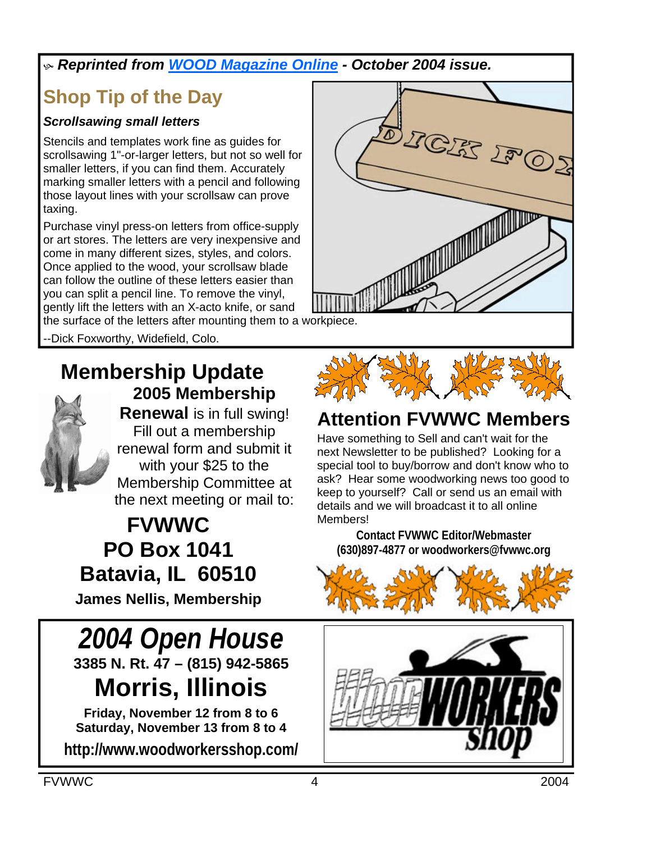#### h *Reprinted from WOOD Magazine Online - October 2004 issue.*

# **Shop Tip of the Day**

#### *Scrollsawing small letters*

Stencils and templates work fine as guides for scrollsawing 1"-or-larger letters, but not so well for smaller letters, if you can find them. Accurately marking smaller letters with a pencil and following those layout lines with your scrollsaw can prove taxing.

Purchase vinyl press-on letters from office-supply or art stores. The letters are very inexpensive and come in many different sizes, styles, and colors. Once applied to the wood, your scrollsaw blade can follow the outline of these letters easier than you can split a pencil line. To remove the vinyl, gently lift the letters with an X-acto knife, or sand

the surface of the letters after mounting them to a workpiece.

-Dick Foxworthy, Widefield, Colo.

#### **Membership Update 2005 Membership**



**Renewal** is in full swing! Fill out a membership renewal form and submit it with your \$25 to the Membership Committee at the next meeting or mail to:

**FVWWC PO Box 1041 Batavia, IL 60510**

**James Nellis, Membership**

*2004 Open House* **3385 N. Rt. 47 – (815) 942-5865 Morris, Illinois**

**Friday, November 12 from 8 to 6 Saturday, November 13 from 8 to 4 http://www.woodworkersshop.com/**





# **Attention FVWWC Members**

Have something to Sell and can't wait for the next Newsletter to be published? Looking for a special tool to buy/borrow and don't know who to ask? Hear some woodworking news too good to keep to yourself? Call or send us an email with details and we will broadcast it to all online **Members!** 

**Contact FVWWC Editor/Webmaster (630)897-4877 or woodworkers@fvwwc.org** 



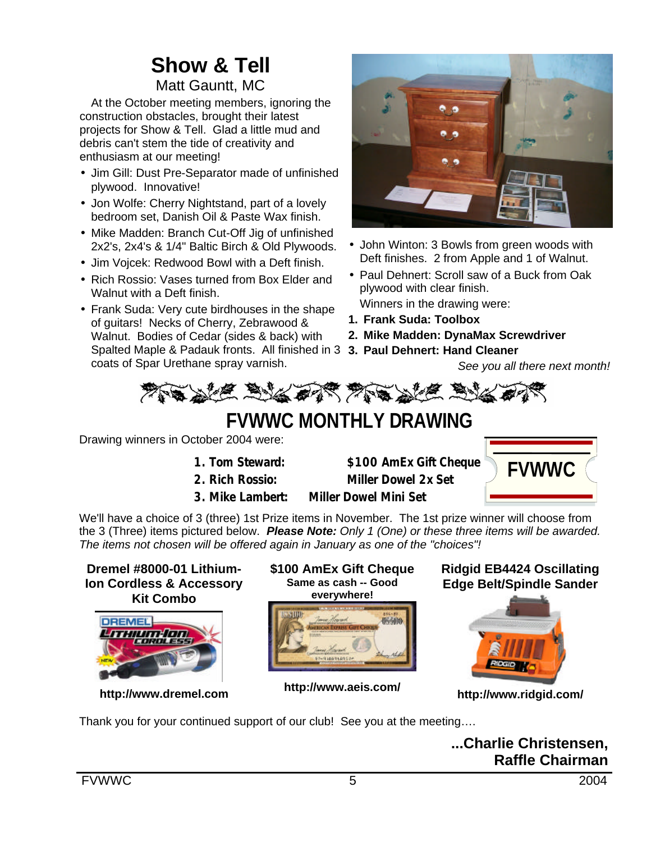# **Show & Tell**

#### Matt Gauntt, MC

At the October meeting members, ignoring the construction obstacles, brought their latest projects for Show & Tell. Glad a little mud and debris can't stem the tide of creativity and enthusiasm at our meeting!

- Jim Gill: Dust Pre-Separator made of unfinished plywood. Innovative!
- Jon Wolfe: Cherry Nightstand, part of a lovely bedroom set, Danish Oil & Paste Wax finish.
- Mike Madden: Branch Cut-Off Jig of unfinished 2x2's, 2x4's & 1/4" Baltic Birch & Old Plywoods.
- Jim Vojcek: Redwood Bowl with a Deft finish.
- Rich Rossio: Vases turned from Box Elder and Walnut with a Deft finish.
- Frank Suda: Very cute birdhouses in the shape of guitars! Necks of Cherry, Zebrawood & Walnut. Bodies of Cedar (sides & back) with Spalted Maple & Padauk fronts. All finished in 3 **3. Paul Dehnert: Hand Cleaner** coats of Spar Urethane spray varnish.



- John Winton: 3 Bowls from green woods with Deft finishes. 2 from Apple and 1 of Walnut.
- Paul Dehnert: Scroll saw of a Buck from Oak plywood with clear finish. Winners in the drawing were:
- **1. Frank Suda: Toolbox**
- **2. Mike Madden: DynaMax Screwdriver**
	-

*See you all there next month!*



# **FVWWC MONTHLY DRAWING**

Drawing winners in October 2004 were:

- 
- 
- **3. Mike Lambert: Miller Dowel Mini Set**

**1. Tom Steward: \$100 AmEx Gift Cheque 2. Rich Rossio: Miller Dowel 2x Set**



We'll have a choice of 3 (three) 1st Prize items in November. The 1st prize winner will choose from the 3 (Three) items pictured below. *Please Note: Only 1 (One) or these three items will be awarded. The items not chosen will be offered again in January as one of the "choices"!*

**Dremel #8000-01 Lithium-Ion Cordless & Accessory Kit Combo**



**http://www.dremel.com**

**\$100 AmEx Gift Cheque Same as cash -- Good everywhere!**



**http://www.aeis.com/**

**Ridgid EB4424 Oscillating Edge Belt/Spindle Sander**



**http://www.ridgid.com/**

Thank you for your continued support of our club! See you at the meeting….

**...Charlie Christensen, Raffle Chairman**